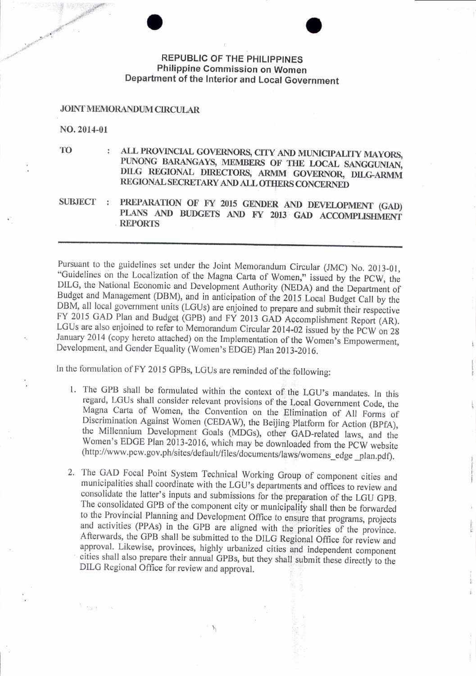## **REPUBLIC OF THE PHILIPPINES** Philippine Commission on Women Department of the Interior and Local Government

## **JOINT MEMORANDUM CIRCULAR**

NO. 2014-01

 $\frac{1}{\alpha}$  ,  $\alpha_{\alpha\beta}$  ,  $\alpha_{\beta\gamma}$ 

**TO** 

- ALL PROVINCIAL GOVERNORS, CITY AND MUNICIPALITY MAYORS, PUNONG BARANGAYS, MEMBERS OF THE LOCAL SANGGUNIAN, DILG REGIONAL DIRECTORS, ARMM GOVERNOR, DILG-ARMM REGIONAL SECRETARY AND ALL OTHERS CONCERNED
- PREPARATION OF FY 2015 GENDER AND DEVELOPMENT (GAD) SUBJECT : PLANS AND BUDGETS AND FY 2013 GAD ACCOMPLISHMENT **REPORTS**

Pursuant to the guidelines set under the Joint Memorandum Circular (JMC) No. 2013-01, "Guidelines on the Localization of the Magna Carta of Women," issued by the PCW, the DILG, the National Economic and Development Authority (NEDA) and the Department of Budget and Management (DBM), and in anticipation of the 2015 Local Budget Call by the DBM, all local government units (LGUs) are enjoined to prepare and submit their respective FY 2015 GAD Plan and Budget (GPB) and FY 2013 GAD Accomplishment Report (AR). LGUs are also enjoined to refer to Memorandum Circular 2014-02 issued by the PCW on 28 January 2014 (copy hereto attached) on the Implementation of the Women's Empowerment, Development, and Gender Equality (Women's EDGE) Plan 2013-2016.

In the formulation of FY 2015 GPBs, LGUs are reminded of the following:

- 1. The GPB shall be formulated within the context of the LGU's mandates. In this regard, LGUs shall consider relevant provisions of the Local Government Code, the Magna Carta of Women, the Convention on the Elimination of All Forms of Discrimination Against Women (CEDAW), the Beijing Platform for Action (BPfA), the Millennium Development Goals (MDGs), other GAD-related laws, and the Women's EDGE Plan 2013-2016, which may be downloaded from the PCW website (http://www.pcw.gov.ph/sites/default/files/documents/laws/womens\_edge\_plan.pdf).
- 2. The GAD Focal Point System Technical Working Group of component cities and municipalities shall coordinate with the LGU's departments and offices to review and consolidate the latter's inputs and submissions for the preparation of the LGU GPB. The consolidated GPB of the component city or municipality shall then be forwarded to the Provincial Planning and Development Office to ensure that programs, projects and activities (PPAs) in the GPB are aligned with the priorities of the province. Afterwards, the GPB shall be submitted to the DILG Regional Office for review and approval. Likewise, provinces, highly urbanized cities and independent component cities shall also prepare their annual GPBs, but they shall submit these directly to the DILG Regional Office for review and approval.